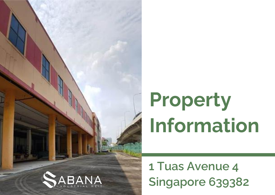

# **Property Information**

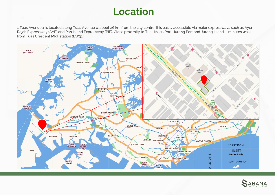### **Location**

1 Tuas Avenue 4 is located along Tuas Avenue 4, about 26 km from the city centre. It is easily accessible via major expressways such as Ayer Rajah Expressway (AYE) and Pan Island Expressway (PIE). Close proximity to Tuas Mega Port, Jurong Port and Jurong Island. 2 minutes walk from Tuas Crescent MRT station (EW31).



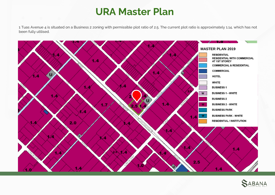#### **URA Master Plan**

1 Tuas Avenue 4 is situated on a Business 2 zoning with permissible plot ratio of 2.5. The current plot ratio is approximately 1.14, which has not been fully utilised.



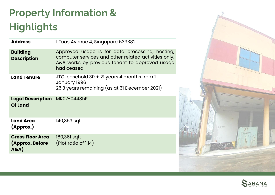# **Property Information & Highlights**

| <b>Address</b>                                        | 1 Tuas Avenue 4, Singapore 639382                                                                                                                                        |  |  |
|-------------------------------------------------------|--------------------------------------------------------------------------------------------------------------------------------------------------------------------------|--|--|
| <b>Building</b><br><b>Description</b>                 | Approved usage is for data processing, hosting,<br>computer services and other related activities only.<br>A&A works by previous tenant to approved usage<br>had ceased. |  |  |
| <b>Land Tenure</b>                                    | JTC leasehold 30 + 21 years 4 months from 1<br>January 1996<br>25.3 years remaining (as at 31 December 2021)                                                             |  |  |
| <b>Legal Description</b><br><b>Of Land</b>            | MK07-04485P                                                                                                                                                              |  |  |
| <b>Land Area</b><br>(Approx.)                         | 140,353 sqft                                                                                                                                                             |  |  |
| <b>Gross Floor Area</b><br>(Approx. Before<br>$A\&A)$ | 160,361 sqft<br>(Plot ratio of 1.14)                                                                                                                                     |  |  |



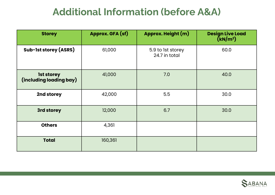## **Additional Information (before A&A)**

| <b>Storey</b>                                | Approx. GFA (sf) | <b>Approx. Height (m)</b>          | <b>Design Live Load</b><br>$\left(\frac{kN}{m^2}\right)$ |
|----------------------------------------------|------------------|------------------------------------|----------------------------------------------------------|
| <b>Sub-1st storey (ASRS)</b>                 | 61,000           | 5.9 to 1st storey<br>24.7 in total | 60.0                                                     |
| <b>1st storey</b><br>(including loading bay) | 41,000           | 7.0                                | 40.0                                                     |
| 2nd storey                                   | 42,000           | 5.5                                | 30.0                                                     |
| 3rd storey                                   | 12,000           | 6.7                                | 30.0                                                     |
| <b>Others</b>                                | 4,361            |                                    |                                                          |
| <b>Total</b>                                 | 160,361          |                                    |                                                          |

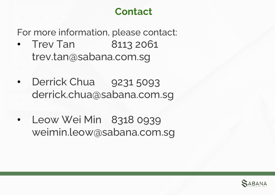## **Contact**

For more information, please contact:

- **Filter Trev Tan 8113 2061** trev.tan@sabana.com.sg
- Derrick Chua 9231 5093 derrick.chua@sabana.com.sg
- Leow Wei Min 8318 0939 weimin.leow@sabana.com.sg